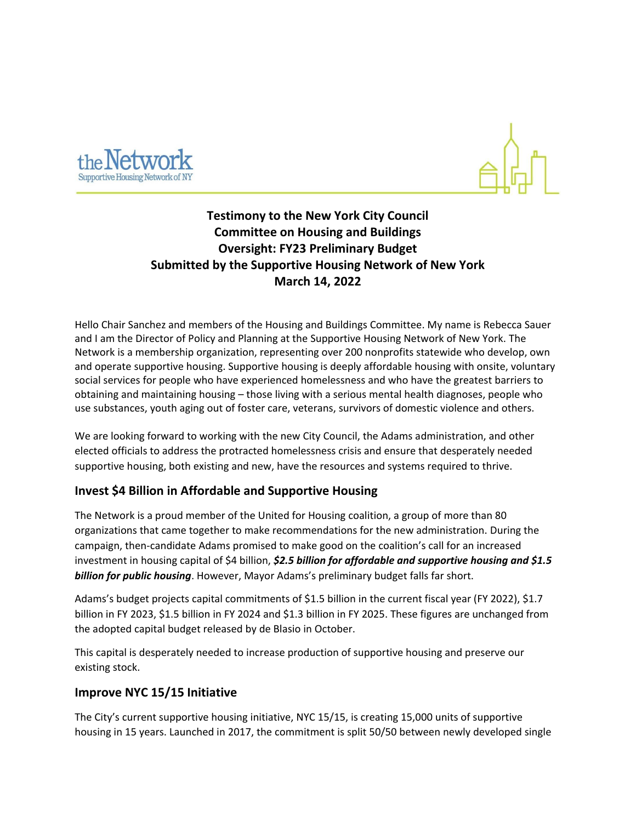



# **Testimony to the New York City Council Committee on Housing and Buildings Oversight: FY23 Preliminary Budget Submitted by the Supportive Housing Network of New York March 14, 2022**

Hello Chair Sanchez and members of the Housing and Buildings Committee. My name is Rebecca Sauer and I am the Director of Policy and Planning at the Supportive Housing Network of New York. The Network is a membership organization, representing over 200 nonprofits statewide who develop, own and operate supportive housing. Supportive housing is deeply affordable housing with onsite, voluntary social services for people who have experienced homelessness and who have the greatest barriers to obtaining and maintaining housing – those living with a serious mental health diagnoses, people who use substances, youth aging out of foster care, veterans, survivors of domestic violence and others.

We are looking forward to working with the new City Council, the Adams administration, and other elected officials to address the protracted homelessness crisis and ensure that desperately needed supportive housing, both existing and new, have the resources and systems required to thrive.

### **Invest \$4 Billion in Affordable and Supportive Housing**

The Network is a proud member of the United for Housing coalition, a group of more than 80 organizations that came together to make recommendations for the new administration. During the campaign, then-candidate Adams promised to make good on the coalition's call for an increased investment in housing capital of \$4 billion, *\$2.5 billion for affordable and supportive housing and \$1.5 billion for public housing*. However, Mayor Adams's preliminary budget falls far short.

Adams's budget projects capital commitments of \$1.5 billion in the current fiscal year (FY 2022), \$1.7 billion in FY 2023, \$1.5 billion in FY 2024 and \$1.3 billion in FY 2025. These figures are unchanged from the adopted capital budget released by de Blasio in October.

This capital is desperately needed to increase production of supportive housing and preserve our existing stock.

### **Improve NYC 15/15 Initiative**

The City's current supportive housing initiative, NYC 15/15, is creating 15,000 units of supportive housing in 15 years. Launched in 2017, the commitment is split 50/50 between newly developed single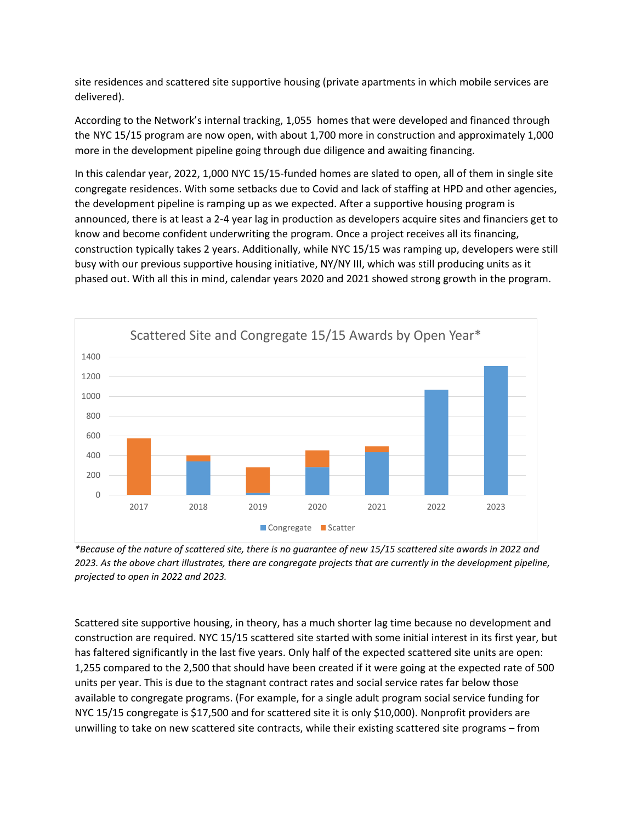site residences and scattered site supportive housing (private apartments in which mobile services are delivered).

According to the Network's internal tracking, 1,055 homes that were developed and financed through the NYC 15/15 program are now open, with about 1,700 more in construction and approximately 1,000 more in the development pipeline going through due diligence and awaiting financing.

In this calendar year, 2022, 1,000 NYC 15/15-funded homes are slated to open, all of them in single site congregate residences. With some setbacks due to Covid and lack of staffing at HPD and other agencies, the development pipeline is ramping up as we expected. After a supportive housing program is announced, there is at least a 2-4 year lag in production as developers acquire sites and financiers get to know and become confident underwriting the program. Once a project receives all its financing, construction typically takes 2 years. Additionally, while NYC 15/15 was ramping up, developers were still busy with our previous supportive housing initiative, NY/NY III, which was still producing units as it phased out. With all this in mind, calendar years 2020 and 2021 showed strong growth in the program.



*\*Because of the nature of scattered site, there is no guarantee of new 15/15 scattered site awards in 2022 and 2023. As the above chart illustrates, there are congregate projects that are currently in the development pipeline, projected to open in 2022 and 2023.* 

Scattered site supportive housing, in theory, has a much shorter lag time because no development and construction are required. NYC 15/15 scattered site started with some initial interest in its first year, but has faltered significantly in the last five years. Only half of the expected scattered site units are open: 1,255 compared to the 2,500 that should have been created if it were going at the expected rate of 500 units per year. This is due to the stagnant contract rates and social service rates far below those available to congregate programs. (For example, for a single adult program social service funding for NYC 15/15 congregate is \$17,500 and for scattered site it is only \$10,000). Nonprofit providers are unwilling to take on new scattered site contracts, while their existing scattered site programs – from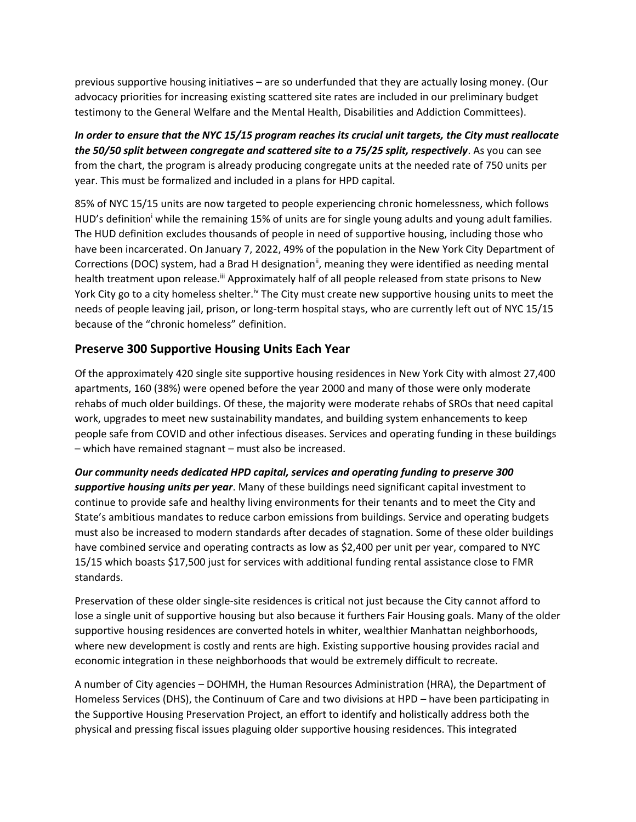previous supportive housing initiatives – are so underfunded that they are actually losing money. (Our advocacy priorities for increasing existing scattered site rates are included in our preliminary budget testimony to the General Welfare and the Mental Health, Disabilities and Addiction Committees).

*In order to ensure that the NYC 15/15 program reaches its crucial unit targets, the City must reallocate the 50/50 split between congregate and scattered site to a 75/25 split, respectively*. As you can see from the chart, the program is already producing congregate units at the needed rate of 750 units per year. This must be formalized and included in a plans for HPD capital.

85% of NYC 15/15 units are now targeted to people experiencing chronic homelessness, which follows HUD's definition while the remaining 15% of units are for single young adults and young adult families. The HUD definition excludes thousands of people in need of supportive housing, including those who have been incarcerated. On January 7, 2022, 49% of the population in the New York City Department of Corrections (DOC) system, had a Brad H designation<sup>ii</sup>, meaning they were identified as needing mental health treatment upon release.<sup>ii</sup> Approximately half of all people released from state prisons to New York City go to a city homeless shelter.<sup>iv</sup> The City must create new supportive housing units to meet the needs of people leaving jail, prison, or long-term hospital stays, who are currently left out of NYC 15/15 because of the "chronic homeless" definition.

## **Preserve 300 Supportive Housing Units Each Year**

Of the approximately 420 single site supportive housing residences in New York City with almost 27,400 apartments, 160 (38%) were opened before the year 2000 and many of those were only moderate rehabs of much older buildings. Of these, the majority were moderate rehabs of SROs that need capital work, upgrades to meet new sustainability mandates, and building system enhancements to keep people safe from COVID and other infectious diseases. Services and operating funding in these buildings – which have remained stagnant – must also be increased.

*Our community needs dedicated HPD capital, services and operating funding to preserve 300 supportive housing units per year*. Many of these buildings need significant capital investment to continue to provide safe and healthy living environments for their tenants and to meet the City and State's ambitious mandates to reduce carbon emissions from buildings. Service and operating budgets must also be increased to modern standards after decades of stagnation. Some of these older buildings have combined service and operating contracts as low as \$2,400 per unit per year, compared to NYC 15/15 which boasts \$17,500 just for services with additional funding rental assistance close to FMR standards.

Preservation of these older single-site residences is critical not just because the City cannot afford to lose a single unit of supportive housing but also because it furthers Fair Housing goals. Many of the older supportive housing residences are converted hotels in whiter, wealthier Manhattan neighborhoods, where new development is costly and rents are high. Existing supportive housing provides racial and economic integration in these neighborhoods that would be extremely difficult to recreate.

A number of City agencies – DOHMH, the Human Resources Administration (HRA), the Department of Homeless Services (DHS), the Continuum of Care and two divisions at HPD – have been participating in the Supportive Housing Preservation Project, an effort to identify and holistically address both the physical and pressing fiscal issues plaguing older supportive housing residences. This integrated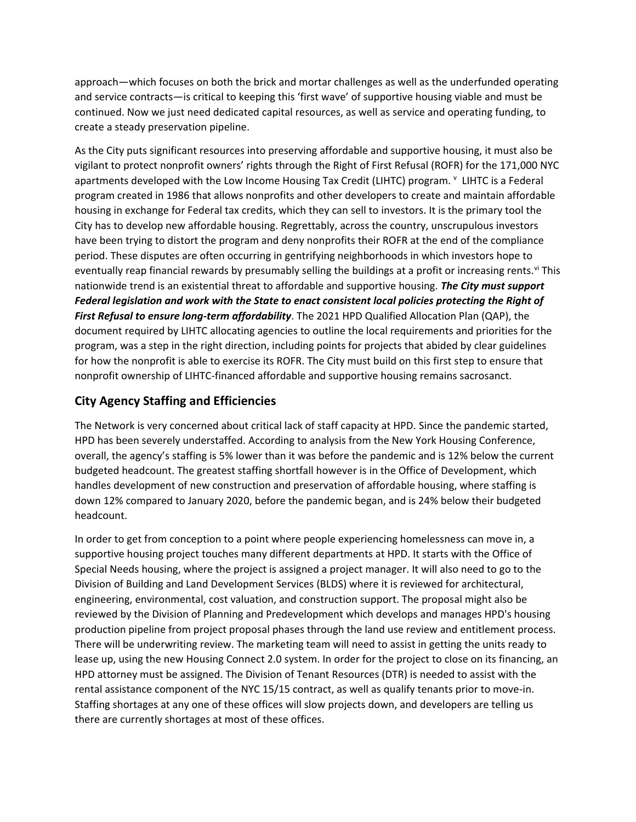approach—which focuses on both the brick and mortar challenges as well as the underfunded operating and service contracts—is critical to keeping this 'first wave' of supportive housing viable and must be continued. Now we just need dedicated capital resources, as well as service and operating funding, to create a steady preservation pipeline.

As the City puts significant resources into preserving affordable and supportive housing, it must also be vigilant to protect nonprofit owners' rights through the Right of First Refusal (ROFR) for the 171,000 NYC apartments developed with the Low Income Housing Tax Credit (LIHTC) program. <sup>v</sup> LIHTC is a Federal program created in 1986 that allows nonprofits and other developers to create and maintain affordable housing in exchange for Federal tax credits, which they can sell to investors. It is the primary tool the City has to develop new affordable housing. Regrettably, across the country, unscrupulous investors have been trying to distort the program and deny nonprofits their ROFR at the end of the compliance period. These disputes are often occurring in gentrifying neighborhoods in which investors hope to eventually reap financial rewards by presumably selling the buildings at a profit or increasing rents.<sup>vi</sup> This nationwide trend is an existential threat to affordable and supportive housing. *The City must support Federal legislation and work with the State to enact consistent local policies protecting the Right of First Refusal to ensure long-term affordability*. The 2021 HPD Qualified Allocation Plan (QAP), the document required by LIHTC allocating agencies to outline the local requirements and priorities for the program, was a step in the right direction, including points for projects that abided by clear guidelines for how the nonprofit is able to exercise its ROFR. The City must build on this first step to ensure that nonprofit ownership of LIHTC-financed affordable and supportive housing remains sacrosanct.

# **City Agency Staffing and Efficiencies**

The Network is very concerned about critical lack of staff capacity at HPD. Since the pandemic started, HPD has been severely understaffed. According to analysis from the New York Housing Conference, overall, the agency's staffing is 5% lower than it was before the pandemic and is 12% below the current budgeted headcount. The greatest staffing shortfall however is in the Office of Development, which handles development of new construction and preservation of affordable housing, where staffing is down 12% compared to January 2020, before the pandemic began, and is 24% below their budgeted headcount.

In order to get from conception to a point where people experiencing homelessness can move in, a supportive housing project touches many different departments at HPD. It starts with the Office of Special Needs housing, where the project is assigned a project manager. It will also need to go to the Division of Building and Land Development Services (BLDS) where it is reviewed for architectural, engineering, environmental, cost valuation, and construction support. The proposal might also be reviewed by the Division of Planning and Predevelopment which develops and manages HPD's housing production pipeline from project proposal phases through the land use review and entitlement process. There will be underwriting review. The marketing team will need to assist in getting the units ready to lease up, using the new Housing Connect 2.0 system. In order for the project to close on its financing, an HPD attorney must be assigned. The Division of Tenant Resources (DTR) is needed to assist with the rental assistance component of the NYC 15/15 contract, as well as qualify tenants prior to move-in. Staffing shortages at any one of these offices will slow projects down, and developers are telling us there are currently shortages at most of these offices.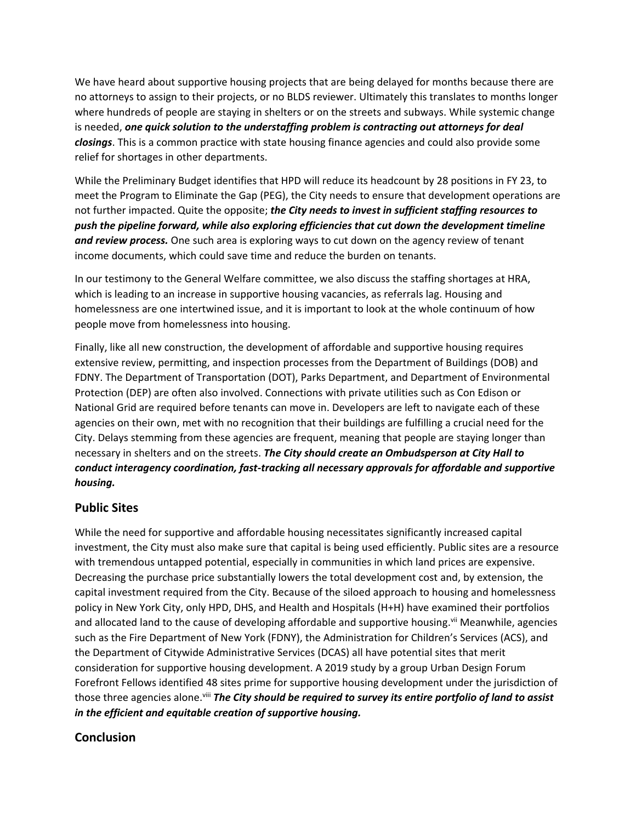We have heard about supportive housing projects that are being delayed for months because there are no attorneys to assign to their projects, or no BLDS reviewer. Ultimately this translates to months longer where hundreds of people are staying in shelters or on the streets and subways. While systemic change is needed, *one quick solution to the understaffing problem is contracting out attorneys for deal closings*. This is a common practice with state housing finance agencies and could also provide some relief for shortages in other departments.

While the Preliminary Budget identifies that HPD will reduce its headcount by 28 positions in FY 23, to meet the Program to Eliminate the Gap (PEG), the City needs to ensure that development operations are not further impacted. Quite the opposite; *the City needs to invest in sufficient staffing resources to push the pipeline forward, while also exploring efficiencies that cut down the development timeline and review process.* One such area is exploring ways to cut down on the agency review of tenant income documents, which could save time and reduce the burden on tenants.

In our testimony to the General Welfare committee, we also discuss the staffing shortages at HRA, which is leading to an increase in supportive housing vacancies, as referrals lag. Housing and homelessness are one intertwined issue, and it is important to look at the whole continuum of how people move from homelessness into housing.

Finally, like all new construction, the development of affordable and supportive housing requires extensive review, permitting, and inspection processes from the Department of Buildings (DOB) and FDNY. The Department of Transportation (DOT), Parks Department, and Department of Environmental Protection (DEP) are often also involved. Connections with private utilities such as Con Edison or National Grid are required before tenants can move in. Developers are left to navigate each of these agencies on their own, met with no recognition that their buildings are fulfilling a crucial need for the City. Delays stemming from these agencies are frequent, meaning that people are staying longer than necessary in shelters and on the streets. *The City should create an Ombudsperson at City Hall to conduct interagency coordination, fast-tracking all necessary approvals for affordable and supportive housing.*

# **Public Sites**

While the need for supportive and affordable housing necessitates significantly increased capital investment, the City must also make sure that capital is being used efficiently. Public sites are a resource with tremendous untapped potential, especially in communities in which land prices are expensive. Decreasing the purchase price substantially lowers the total development cost and, by extension, the capital investment required from the City. Because of the siloed approach to housing and homelessness policy in New York City, only HPD, DHS, and Health and Hospitals (H+H) have examined their portfolios and allocated land to the cause of developing affordable and supportive housing.<sup>vii</sup> Meanwhile, agencies such as the Fire Department of New York (FDNY), the Administration for Children's Services (ACS), and the Department of Citywide Administrative Services (DCAS) all have potential sites that merit consideration for supportive housing development. A 2019 study by a group Urban Design Forum Forefront Fellows identified 48 sites prime for supportive housing development under the jurisdiction of those three agencies alone.<sup>viii</sup> *The City should be required to survey its entire portfolio of land to assist in the efficient and equitable creation of supportive housing.*

# **Conclusion**